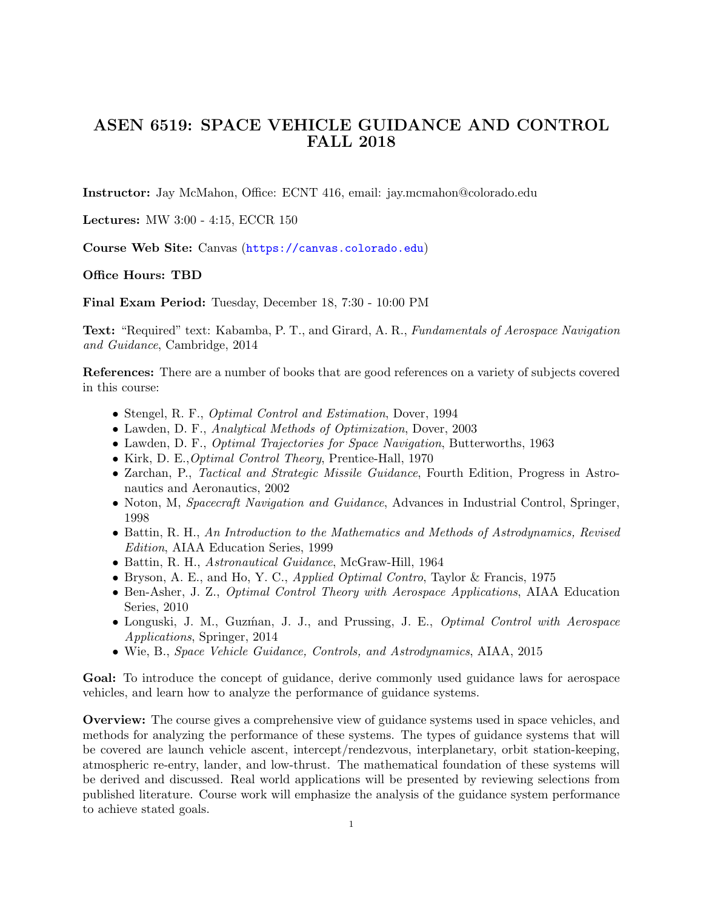## ASEN 6519: SPACE VEHICLE GUIDANCE AND CONTROL FALL 2018

Instructor: Jay McMahon, Office: ECNT 416, email: jay.mcmahon@colorado.edu

Lectures: MW 3:00 - 4:15, ECCR 150

Course Web Site: Canvas (<https://canvas.colorado.edu>)

Office Hours: TBD

Final Exam Period: Tuesday, December 18, 7:30 - 10:00 PM

Text: "Required" text: Kabamba, P. T., and Girard, A. R., Fundamentals of Aerospace Navigation and Guidance, Cambridge, 2014

References: There are a number of books that are good references on a variety of subjects covered in this course:

- Stengel, R. F., *Optimal Control and Estimation*, Dover, 1994
- Lawden, D. F., Analytical Methods of Optimization, Dover, 2003
- Lawden, D. F., *Optimal Trajectories for Space Navigation*, Butterworths, 1963
- Kirk, D. E., *Optimal Control Theory*, Prentice-Hall, 1970
- Zarchan, P., Tactical and Strategic Missile Guidance, Fourth Edition, Progress in Astronautics and Aeronautics, 2002
- Noton, M, Spacecraft Navigation and Guidance, Advances in Industrial Control, Springer, 1998
- Battin, R. H., An Introduction to the Mathematics and Methods of Astrodynamics, Revised Edition, AIAA Education Series, 1999
- Battin, R. H., Astronautical Guidance, McGraw-Hill, 1964
- Bryson, A. E., and Ho, Y. C., Applied Optimal Contro, Taylor & Francis, 1975
- Ben-Asher, J. Z., *Optimal Control Theory with Aerospace Applications*, AIAA Education Series, 2010
- Longuski, J. M., Guzman, J. J., and Prussing, J. E., *Optimal Control with Aerospace* Applications, Springer, 2014
- Wie, B., Space Vehicle Guidance, Controls, and Astrodynamics, AIAA, 2015

Goal: To introduce the concept of guidance, derive commonly used guidance laws for aerospace vehicles, and learn how to analyze the performance of guidance systems.

Overview: The course gives a comprehensive view of guidance systems used in space vehicles, and methods for analyzing the performance of these systems. The types of guidance systems that will be covered are launch vehicle ascent, intercept/rendezvous, interplanetary, orbit station-keeping, atmospheric re-entry, lander, and low-thrust. The mathematical foundation of these systems will be derived and discussed. Real world applications will be presented by reviewing selections from published literature. Course work will emphasize the analysis of the guidance system performance to achieve stated goals.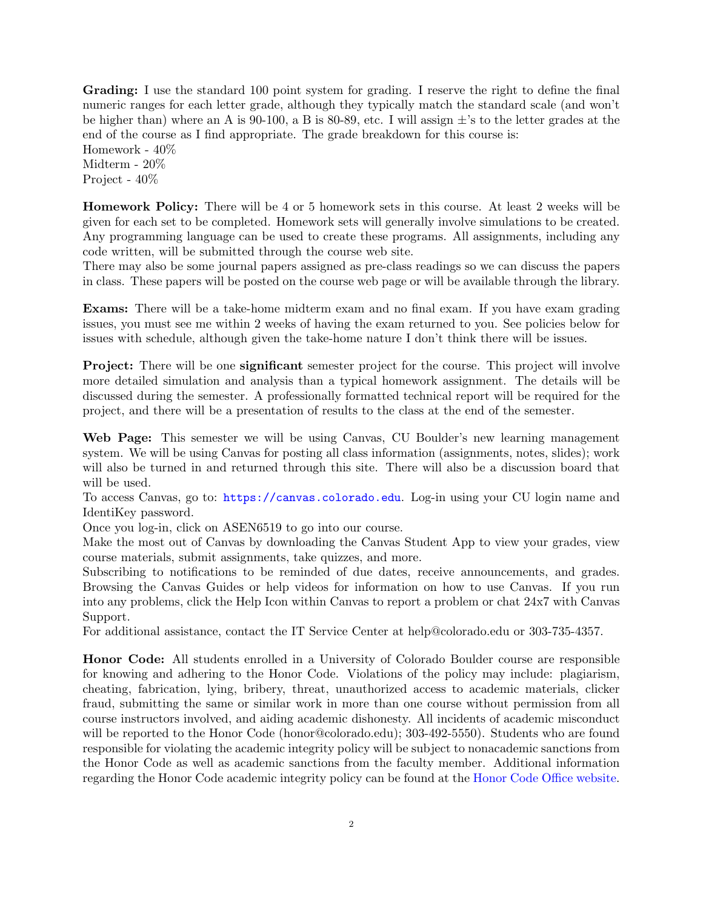Grading: I use the standard 100 point system for grading. I reserve the right to define the final numeric ranges for each letter grade, although they typically match the standard scale (and won't be higher than) where an A is 90-100, a B is 80-89, etc. I will assign  $\pm$ 's to the letter grades at the end of the course as I find appropriate. The grade breakdown for this course is: Homework - 40% Midterm - 20% Project - 40%

Homework Policy: There will be 4 or 5 homework sets in this course. At least 2 weeks will be given for each set to be completed. Homework sets will generally involve simulations to be created. Any programming language can be used to create these programs. All assignments, including any code written, will be submitted through the course web site.

There may also be some journal papers assigned as pre-class readings so we can discuss the papers in class. These papers will be posted on the course web page or will be available through the library.

Exams: There will be a take-home midterm exam and no final exam. If you have exam grading issues, you must see me within 2 weeks of having the exam returned to you. See policies below for issues with schedule, although given the take-home nature I don't think there will be issues.

**Project:** There will be one **significant** semester project for the course. This project will involve more detailed simulation and analysis than a typical homework assignment. The details will be discussed during the semester. A professionally formatted technical report will be required for the project, and there will be a presentation of results to the class at the end of the semester.

Web Page: This semester we will be using Canvas, CU Boulder's new learning management system. We will be using Canvas for posting all class information (assignments, notes, slides); work will also be turned in and returned through this site. There will also be a discussion board that will be used.

To access Canvas, go to: <https://canvas.colorado.edu>. Log-in using your CU login name and IdentiKey password.

Once you log-in, click on ASEN6519 to go into our course.

Make the most out of Canvas by downloading the Canvas Student App to view your grades, view course materials, submit assignments, take quizzes, and more.

Subscribing to notifications to be reminded of due dates, receive announcements, and grades. Browsing the Canvas Guides or help videos for information on how to use Canvas. If you run into any problems, click the Help Icon within Canvas to report a problem or chat 24x7 with Canvas Support.

For additional assistance, contact the IT Service Center at help@colorado.edu or 303-735-4357.

Honor Code: All students enrolled in a University of Colorado Boulder course are responsible for knowing and adhering to the Honor Code. Violations of the policy may include: plagiarism, cheating, fabrication, lying, bribery, threat, unauthorized access to academic materials, clicker fraud, submitting the same or similar work in more than one course without permission from all course instructors involved, and aiding academic dishonesty. All incidents of academic misconduct will be reported to the Honor Code (honor@colorado.edu); 303-492-5550). Students who are found responsible for violating the academic integrity policy will be subject to nonacademic sanctions from the Honor Code as well as academic sanctions from the faculty member. Additional information regarding the Honor Code academic integrity policy can be found at the [Honor Code Office website.](https://www.colorado.edu/osccr/honor-code)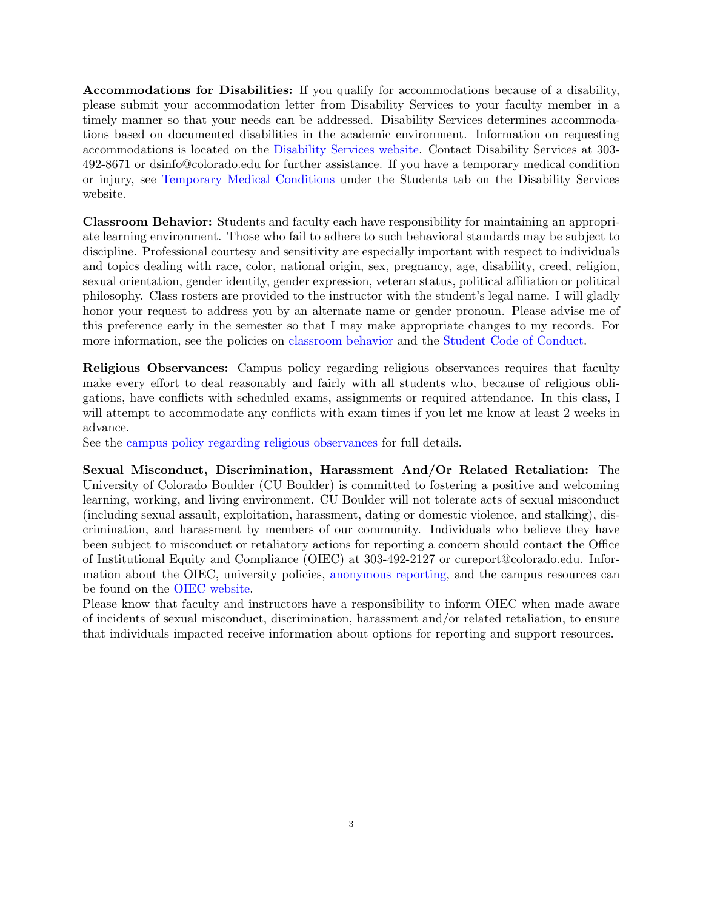Accommodations for Disabilities: If you qualify for accommodations because of a disability, please submit your accommodation letter from Disability Services to your faculty member in a timely manner so that your needs can be addressed. Disability Services determines accommodations based on documented disabilities in the academic environment. Information on requesting accommodations is located on the [Disability Services website.](http://www.colorado.edu/disabilityservices/students) Contact Disability Services at 303- 492-8671 or dsinfo@colorado.edu for further assistance. If you have a temporary medical condition or injury, see [Temporary Medical Conditions](http://www.colorado.edu/disabilityservices/students/temporary-medical-conditions) under the Students tab on the Disability Services website.

Classroom Behavior: Students and faculty each have responsibility for maintaining an appropriate learning environment. Those who fail to adhere to such behavioral standards may be subject to discipline. Professional courtesy and sensitivity are especially important with respect to individuals and topics dealing with race, color, national origin, sex, pregnancy, age, disability, creed, religion, sexual orientation, gender identity, gender expression, veteran status, political affiliation or political philosophy. Class rosters are provided to the instructor with the student's legal name. I will gladly honor your request to address you by an alternate name or gender pronoun. Please advise me of this preference early in the semester so that I may make appropriate changes to my records. For more information, see the policies on [classroom behavior](http://www.colorado.edu/policies/student-classroom-and-course-related-behavior) and the [Student Code of Conduct.](http://www.colorado.edu/osccr/)

Religious Observances: Campus policy regarding religious observances requires that faculty make every effort to deal reasonably and fairly with all students who, because of religious obligations, have conflicts with scheduled exams, assignments or required attendance. In this class, I will attempt to accommodate any conflicts with exam times if you let me know at least 2 weeks in advance.

See the [campus policy regarding religious observances](http://www.colorado.edu/policies/observance-religious-holidays-and-absences-classes-andor-exams) for full details.

Sexual Misconduct, Discrimination, Harassment And/Or Related Retaliation: The University of Colorado Boulder (CU Boulder) is committed to fostering a positive and welcoming learning, working, and living environment. CU Boulder will not tolerate acts of sexual misconduct (including sexual assault, exploitation, harassment, dating or domestic violence, and stalking), discrimination, and harassment by members of our community. Individuals who believe they have been subject to misconduct or retaliatory actions for reporting a concern should contact the Office of Institutional Equity and Compliance (OIEC) at 303-492-2127 or cureport@colorado.edu. Information about the OIEC, university policies, [anonymous reporting,](https://cuboulder.qualtrics.com/jfe/form/SV_0PnqVK4kkIJIZnf) and the campus resources can be found on the [OIEC website.](http://www.colorado.edu/institutionalequity/)

Please know that faculty and instructors have a responsibility to inform OIEC when made aware of incidents of sexual misconduct, discrimination, harassment and/or related retaliation, to ensure that individuals impacted receive information about options for reporting and support resources.